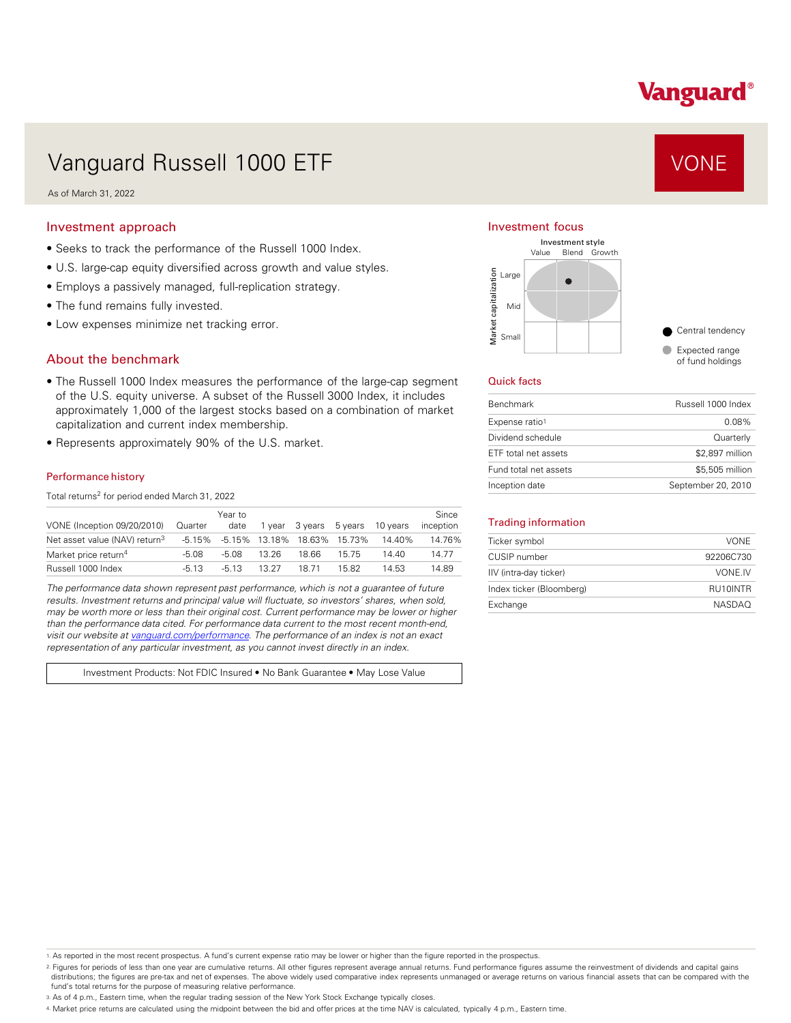# Vanguard®

## Vanguard Russell 1000 ETF VONE

As of March 31, 2022

#### Investment approach

- Seeks to track the performance of the Russell 1000 Index.
- U.S. large-cap equity diversified across growth and value styles.
- Employs a passively managed, full-replication strategy.
- The fund remains fully invested.
- Low expenses minimize net tracking error.

#### About the benchmark

- The Russell 1000 Index measures the performance of the large-cap segment of the U.S. equity universe. A subset of the Russell 3000 Index, it includes approximately 1,000 of the largest stocks based on a combination of market capitalization and current index membership.
- Represents approximately 90% of the U.S. market.

#### Performance history

Total returns<sup>2</sup> for period ended March 31, 2022

|                                           |         | Year to |       |                        |                                    |          | Since     |
|-------------------------------------------|---------|---------|-------|------------------------|------------------------------------|----------|-----------|
| VONE (Inception 09/20/2010)               | Quarter | date    |       | 1 year 3 years 5 years |                                    | 10 vears | inception |
| Net asset value (NAV) return <sup>3</sup> |         |         |       |                        | -5.15% -5.15% 13.18% 18.63% 15.73% | 14.40%   | 14.76%    |
| Market price return <sup>4</sup>          | $-5.08$ | $-5.08$ | 13.26 | 18.66                  | 1575                               | 14 40    | 14.77     |
| Russell 1000 Index                        | $-5.13$ | $-513$  | 13 27 | 1871                   | 15.82                              | 14.53    | 14.89     |

*The performance data shown represent past performance, which is not a guarantee of future results. Investment returns and principal value will fluctuate, so investors' shares, when sold, may be worth more or less than their original cost. Current performance may be lower or higher than the performance data cited. For performance data current to the most recent month-end, visit our website at [vanguard.com/performance .](http://www.vanguard.com/performance) The performance of an index is not an exact representation of any particular investment, as you cannot invest directly in an index.* 

Investment Products: Not FDIC Insured • No Bank Guarantee • May Lose Value

#### Investment focus



#### Quick facts

| <b>Benchmark</b>      | Russell 1000 Index |
|-----------------------|--------------------|
| Expense ratio1        | $0.08\%$           |
| Dividend schedule     | Quarterly          |
| ETF total net assets  | \$2,897 million    |
| Fund total net assets | \$5,505 million    |
| Inception date        | September 20, 2010 |

#### Trading information

| Ticker symbol            | <b>VONE</b>   |
|--------------------------|---------------|
| CUSIP number             | 92206C730     |
| IIV (intra-day ticker)   | VONE.IV       |
| Index ticker (Bloomberg) | RU10INTR      |
| Exchange                 | <b>NASDAO</b> |

1. As reported in the most recent prospectus. A fund's current expense ratio may be lower or higher than the figure reported in the prospectus.

2. Figures for periods of less than one year are cumulative returns. All other figures represent average annual returns. Fund performance figures assume the reinvestment of dividends and capital gains distributions; the figures are pre-tax and net of expenses. The above widely used comparative index represents unmanaged or average returns on various financial assets that can be compared with the fund's total returns for the purpose of measuring relative performance.

3. As of 4 p.m., Eastern time, when the regular trading session of the New York Stock Exchange typically closes.

4. Market price returns are calculated using the midpoint between the bid and offer prices at the time NAV is calculated, typically 4 p.m., Eastern time.